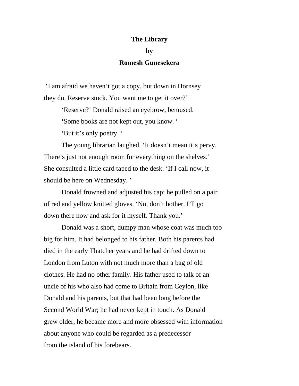## **The Library**

## **by**

## **Romesh Gunesekera**

 'I am afraid we haven't got a copy, but down in Hornsey they do. Reserve stock. You want me to get it over?'

> 'Reserve?' Donald raised an eyebrow, bemused. 'Some books are not kept out, you know. ' 'But it's only poetry. '

The young librarian laughed. 'It doesn't mean it's pervy. There's just not enough room for everything on the shelves.' She consulted a little card taped to the desk. 'If I call now, it should be here on Wednesday. '

Donald frowned and adjusted his cap; he pulled on a pair of red and yellow knitted gloves. 'No, don't bother. I'll go down there now and ask for it myself. Thank you.'

Donald was a short, dumpy man whose coat was much too big for him. It had belonged to his father. Both his parents had died in the early Thatcher years and he had drifted down to London from Luton with not much more than a bag of old clothes. He had no other family. His father used to talk of an uncle of his who also had come to Britain from Ceylon, like Donald and his parents, but that had been long before the Second World War; he had never kept in touch. As Donald grew older, he became more and more obsessed with information about anyone who could be regarded as a predecessor from the island of his forebears.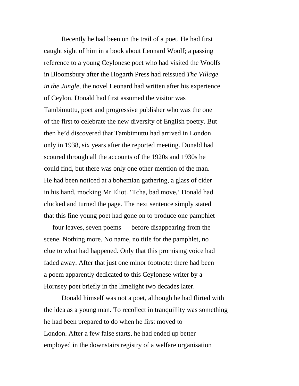Recently he had been on the trail of a poet. He had first caught sight of him in a book about Leonard Woolf; a passing reference to a young Ceylonese poet who had visited the Woolfs in Bloomsbury after the Hogarth Press had reissued *The Village in the Jungle*, the novel Leonard had written after his experience of Ceylon. Donald had first assumed the visitor was Tambimuttu, poet and progressive publisher who was the one of the first to celebrate the new diversity of English poetry. But then he'd discovered that Tambimuttu had arrived in London only in 1938, six years after the reported meeting. Donald had scoured through all the accounts of the 1920s and 1930s he could find, but there was only one other mention of the man. He had been noticed at a bohemian gathering, a glass of cider in his hand, mocking Mr Eliot. 'Tcha, bad move,' Donald had clucked and turned the page. The next sentence simply stated that this fine young poet had gone on to produce one pamphlet — four leaves, seven poems — before disappearing from the scene. Nothing more. No name, no title for the pamphlet, no clue to what had happened. Only that this promising voice had faded away. After that just one minor footnote: there had been a poem apparently dedicated to this Ceylonese writer by a Hornsey poet briefly in the limelight two decades later.

Donald himself was not a poet, although he had flirted with the idea as a young man. To recollect in tranquillity was something he had been prepared to do when he first moved to London. After a few false starts, he had ended up better employed in the downstairs registry of a welfare organisation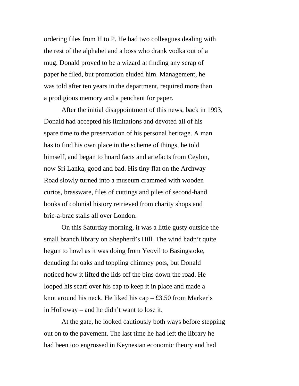ordering files from H to P. He had two colleagues dealing with the rest of the alphabet and a boss who drank vodka out of a mug. Donald proved to be a wizard at finding any scrap of paper he filed, but promotion eluded him. Management, he was told after ten years in the department, required more than a prodigious memory and a penchant for paper.

After the initial disappointment of this news, back in 1993, Donald had accepted his limitations and devoted all of his spare time to the preservation of his personal heritage. A man has to find his own place in the scheme of things, he told himself, and began to hoard facts and artefacts from Ceylon, now Sri Lanka, good and bad. His tiny flat on the Archway Road slowly turned into a museum crammed with wooden curios, brassware, files of cuttings and piles of second-hand books of colonial history retrieved from charity shops and bric-a-brac stalls all over London.

On this Saturday morning, it was a little gusty outside the small branch library on Shepherd's Hill. The wind hadn't quite begun to howl as it was doing from Yeovil to Basingstoke, denuding fat oaks and toppling chimney pots, but Donald noticed how it lifted the lids off the bins down the road. He looped his scarf over his cap to keep it in place and made a knot around his neck. He liked his cap  $-$  £3.50 from Marker's in Holloway – and he didn't want to lose it.

At the gate, he looked cautiously both ways before stepping out on to the pavement. The last time he had left the library he had been too engrossed in Keynesian economic theory and had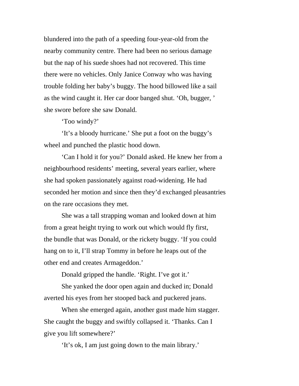blundered into the path of a speeding four-year-old from the nearby community centre. There had been no serious damage but the nap of his suede shoes had not recovered. This time there were no vehicles. Only Janice Conway who was having trouble folding her baby's buggy. The hood billowed like a sail as the wind caught it. Her car door banged shut. 'Oh, bugger, ' she swore before she saw Donald.

'Too windy?'

'It's a bloody hurricane.' She put a foot on the buggy's wheel and punched the plastic hood down.

'Can I hold it for you?' Donald asked. He knew her from a neighbourhood residents' meeting, several years earlier, where she had spoken passionately against road-widening. He had seconded her motion and since then they'd exchanged pleasantries on the rare occasions they met.

She was a tall strapping woman and looked down at him from a great height trying to work out which would fly first, the bundle that was Donald, or the rickety buggy. 'If you could hang on to it, I'll strap Tommy in before he leaps out of the other end and creates Armageddon.'

Donald gripped the handle. 'Right. I've got it.'

She yanked the door open again and ducked in; Donald averted his eyes from her stooped back and puckered jeans.

When she emerged again, another gust made him stagger. She caught the buggy and swiftly collapsed it. 'Thanks. Can I give you lift somewhere?'

'It's ok, I am just going down to the main library.'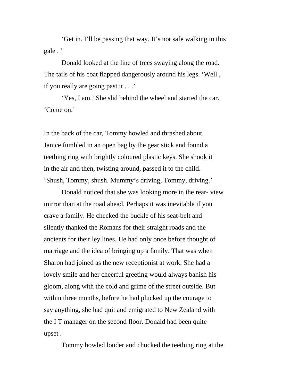'Get in. I'll be passing that way. It's not safe walking in this gale . '

Donald looked at the line of trees swaying along the road. The tails of his coat flapped dangerously around his legs. 'Well , if you really are going past it . . .'

'Yes, I am.' She slid behind the wheel and started the car. 'Come on.'

In the back of the car, Tommy howled and thrashed about. Janice fumbled in an open bag by the gear stick and found a teething ring with brightly coloured plastic keys. She shook it in the air and then, twisting around, passed it to the child. 'Shush, Tommy, shush. Mummy's driving, Tommy, driving.'

Donald noticed that she was looking more in the rear- view mirror than at the road ahead. Perhaps it was inevitable if you crave a family. He checked the buckle of his seat-belt and silently thanked the Romans for their straight roads and the ancients for their ley lines. He had only once before thought of marriage and the idea of bringing up a family. That was when Sharon had joined as the new receptionist at work. She had a lovely smile and her cheerful greeting would always banish his gloom, along with the cold and grime of the street outside. But within three months, before he had plucked up the courage to say anything, she had quit and emigrated to New Zealand with the I T manager on the second floor. Donald had been quite upset .

Tommy howled louder and chucked the teething ring at the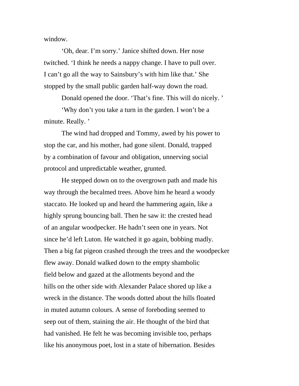window.

'Oh, dear. I'm sorry.' Janice shifted down. Her nose twitched. 'I think he needs a nappy change. I have to pull over. I can't go all the way to Sainsbury's with him like that.' She stopped by the small public garden half-way down the road.

Donald opened the door. 'That's fine. This will do nicely. '

'Why don't you take a turn in the garden. I won't be a minute. Really. '

The wind had dropped and Tommy, awed by his power to stop the car, and his mother, had gone silent. Donald, trapped by a combination of favour and obligation, unnerving social protocol and unpredictable weather, grunted.

He stepped down on to the overgrown path and made his way through the becalmed trees. Above him he heard a woody staccato. He looked up and heard the hammering again, like a highly sprung bouncing ball. Then he saw it: the crested head of an angular woodpecker. He hadn't seen one in years. Not since he'd left Luton. He watched it go again, bobbing madly. Then a big fat pigeon crashed through the trees and the woodpecker flew away. Donald walked down to the empty shambolic field below and gazed at the allotments beyond and the hills on the other side with Alexander Palace shored up like a wreck in the distance. The woods dotted about the hills floated in muted autumn colours. A sense of foreboding seemed to seep out of them, staining the air. He thought of the bird that had vanished. He felt he was becoming invisible too, perhaps like his anonymous poet, lost in a state of hibernation. Besides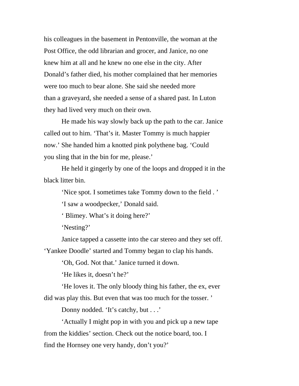his colleagues in the basement in Pentonville, the woman at the Post Office, the odd librarian and grocer, and Janice, no one knew him at all and he knew no one else in the city. After Donald's father died, his mother complained that her memories were too much to bear alone. She said she needed more than a graveyard, she needed a sense of a shared past. In Luton they had lived very much on their own.

He made his way slowly back up the path to the car. Janice called out to him. 'That's it. Master Tommy is much happier now.' She handed him a knotted pink polythene bag. 'Could you sling that in the bin for me, please.'

He held it gingerly by one of the loops and dropped it in the black litter bin.

'Nice spot. I sometimes take Tommy down to the field . '

'I saw a woodpecker,' Donald said.

' Blimey. What's it doing here?'

'Nesting?'

Janice tapped a cassette into the car stereo and they set off.

'Yankee Doodle' started and Tommy began to clap his hands.

'Oh, God. Not that.' Janice turned it down.

'He likes it, doesn't he?'

'He loves it. The only bloody thing his father, the ex, ever did was play this. But even that was too much for the tosser. '

Donny nodded. 'It's catchy, but . . .'

'Actually I might pop in with you and pick up a new tape from the kiddies' section. Check out the notice board, too. I find the Hornsey one very handy, don't you?'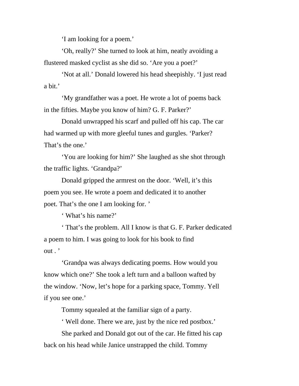'I am looking for a poem.'

'Oh, really?' She turned to look at him, neatly avoiding a flustered masked cyclist as she did so. 'Are you a poet?'

'Not at all.' Donald lowered his head sheepishly. 'I just read a bit.'

'My grandfather was a poet. He wrote a lot of poems back in the fifties. Maybe you know of him? G. F. Parker?'

Donald unwrapped his scarf and pulled off his cap. The car had warmed up with more gleeful tunes and gurgles. 'Parker? That's the one.'

'You are looking for him?' She laughed as she shot through the traffic lights. 'Grandpa?'

Donald gripped the armrest on the door. 'Well, it's this poem you see. He wrote a poem and dedicated it to another poet. That's the one I am looking for. '

' What's his name?'

' That's the problem. All I know is that G. F. Parker dedicated a poem to him. I was going to look for his book to find out . '

'Grandpa was always dedicating poems. How would you know which one?' She took a left turn and a balloon wafted by the window. 'Now, let's hope for a parking space, Tommy. Yell if you see one.'

Tommy squealed at the familiar sign of a party.

' Well done. There we are, just by the nice red postbox.'

She parked and Donald got out of the car. He fitted his cap back on his head while Janice unstrapped the child. Tommy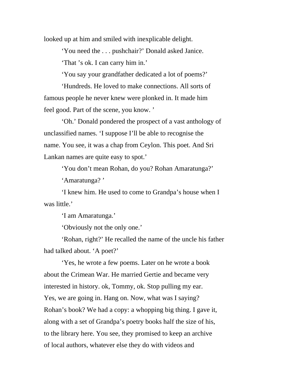looked up at him and smiled with inexplicable delight.

'You need the . . . pushchair?' Donald asked Janice.

'That 's ok. I can carry him in.'

'You say your grandfather dedicated a lot of poems?'

'Hundreds. He loved to make connections. All sorts of famous people he never knew were plonked in. It made him feel good. Part of the scene, you know. '

'Oh.' Donald pondered the prospect of a vast anthology of unclassified names. 'I suppose I'll be able to recognise the name. You see, it was a chap from Ceylon. This poet. And Sri Lankan names are quite easy to spot.'

'You don't mean Rohan, do you? Rohan Amaratunga?'

'Amaratunga? '

'I knew him. He used to come to Grandpa's house when I was little.'

'I am Amaratunga.'

'Obviously not the only one.'

'Rohan, right?' He recalled the name of the uncle his father had talked about. 'A poet?'

'Yes, he wrote a few poems. Later on he wrote a book about the Crimean War. He married Gertie and became very interested in history. ok, Tommy, ok. Stop pulling my ear. Yes, we are going in. Hang on. Now, what was I saying? Rohan's book? We had a copy: a whopping big thing. I gave it, along with a set of Grandpa's poetry books half the size of his, to the library here. You see, they promised to keep an archive of local authors, whatever else they do with videos and